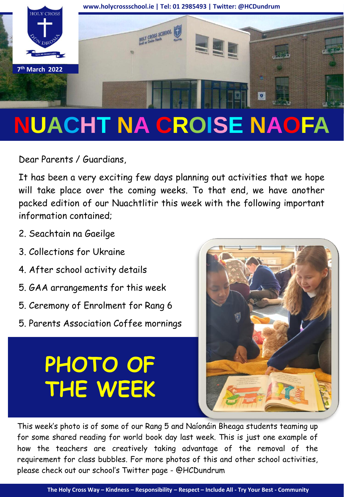

# **NUACHT NA CROISE NAOFA**

Dear Parents / Guardians,

It has been a very exciting few days planning out activities that we hope will take place over the coming weeks. To that end, we have another packed edition of our Nuachtlitir this week with the following important information contained;

- 2. Seachtain na Gaeilge
- 3. Collections for Ukraine
- 4. After school activity details
- 5. GAA arrangements for this week
- 5. Ceremony of Enrolment for Rang 6
- 5. Parents Association Coffee mornings

## **PHOTO OF THE WEEK**



This week's photo is of some of our Rang 5 and Naíonáin Bheaga students teaming up for some shared reading for world book day last week. This is just one example of how the teachers are creatively taking advantage of the removal of the requirement for class bubbles. For more photos of this and other school activities, please check out our school's Twitter page - @HCDundrum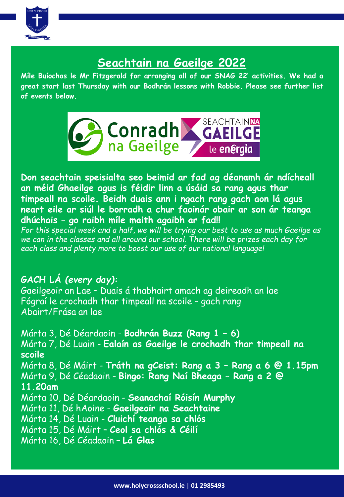

#### **Seachtain na Gaeilge 2022**

**Míle Buíochas le Mr Fitzgerald for arranging all of our SNAG 22' activities. We had a great start last Thursday with our Bodhrán lessons with Robbie. Please see further list of events below.**



**Don seachtain speisialta seo beimid ar fad ag déanamh ár ndícheall an méid Ghaeilge agus is féidir linn a úsáid sa rang agus thar timpeall na scoile. Beidh duais ann i ngach rang gach aon lá agus neart eile ar siúl le borradh a chur faoinár obair ar son ár teanga dhúchais – go raibh míle maith agaibh ar fad!!**

*For this special week and a half, we will be trying our best to use as much Gaeilge as we can in the classes and all around our school. There will be prizes each day for each class and plenty more to boost our use of our national language!* 

**GACH LÁ** *(every day):* Gaeilgeoir an Lae – Duais á thabhairt amach ag deireadh an lae Fógraí le crochadh thar timpeall na scoile – gach rang Abairt/Frása an lae

Márta 3, Dé Déardaoin - **Bodhrán Buzz (Rang 1 – 6)** Márta 7, Dé Luain - **Ealaín as Gaeilge le crochadh thar timpeall na scoile** Márta 8, Dé Máirt - **Tráth na gCeist: Rang a 3 – Rang a 6 @ 1.15pm** Márta 9, Dé Céadaoin - **Bingo: Rang Naí Bheaga – Rang a 2 @ 11.20am** Márta 10, Dé Déardaoin - **Seanachaí Róisín Murphy**  Márta 11, Dé hAoine - **Gaeilgeoir na Seachtaine** Márta 14, Dé Luain - **Cluichí teanga sa chlós** Márta 15, Dé Máirt – **Ceol sa chlós & Céilí** Márta 16, Dé Céadaoin – **Lá Glas**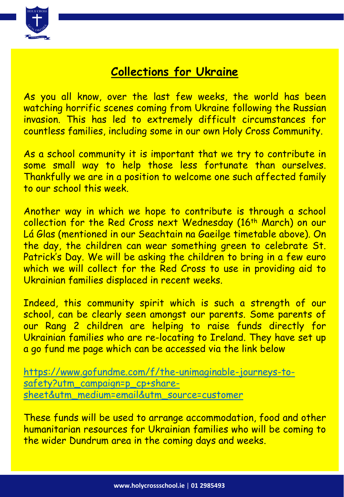

#### **Collections for Ukraine**

As you all know, over the last few weeks, the world has been watching horrific scenes coming from Ukraine following the Russian invasion. This has led to extremely difficult circumstances for countless families, including some in our own Holy Cross Community.

As a school community it is important that we try to contribute in some small way to help those less fortunate than ourselves. Thankfully we are in a position to welcome one such affected family to our school this week.

Another way in which we hope to contribute is through a school collection for the Red Cross next Wednesday (16<sup>th</sup> March) on our Lá Glas (mentioned in our Seachtain na Gaeilge timetable above). On the day, the children can wear something green to celebrate St. Patrick's Day. We will be asking the children to bring in a few euro which we will collect for the Red Cross to use in providing aid to Ukrainian families displaced in recent weeks.

Indeed, this community spirit which is such a strength of our school, can be clearly seen amongst our parents. Some parents of our Rang 2 children are helping to raise funds directly for Ukrainian families who are re-locating to Ireland. They have set up a go fund me page which can be accessed via the link below

[https://www.gofundme.com/f/the-unimaginable-journeys-to](https://www.gofundme.com/f/the-unimaginable-journeys-to-safety?utm_campaign=p_cp+share-sheet&utm_medium=email&utm_source=customer)safety?utm\_campaign=p\_cp+sharesheet&utm\_medium=email&utm\_source=customer

These funds will be used to arrange accommodation, food and other humanitarian resources for Ukrainian families who will be coming to the wider Dundrum area in the coming days and weeks.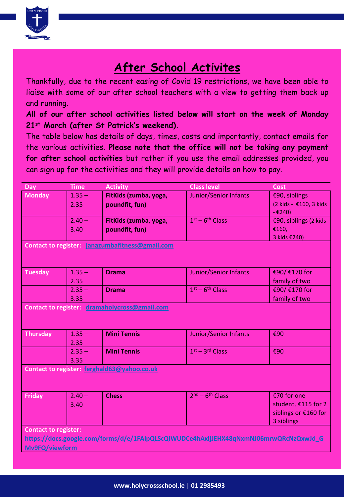

#### **After School Activites**

Thankfully, due to the recent easing of Covid 19 restrictions, we have been able to liaise with some of our after school teachers with a view to getting them back up and running.

**All of our after school activities listed below will start on the week of Monday 21st March (after St Patrick's weekend).**

The table below has details of days, times, costs and importantly, contact emails for the various activities. **Please note that the office will not be taking any payment for after school activities** but rather if you use the email addresses provided, you can sign up for the activities and they will provide details on how to pay.

| Day                                                                                   | <b>Time</b> | <b>Activity</b>       | <b>Class level</b>           | <b>Cost</b>            |
|---------------------------------------------------------------------------------------|-------------|-----------------------|------------------------------|------------------------|
| <b>Monday</b>                                                                         | $1.35 -$    | FitKids (zumba, yoga, | Junior/Senior Infants        | €90, siblings          |
|                                                                                       | 2.35        | poundfit, fun)        |                              | (2 kids - €160, 3 kids |
|                                                                                       |             |                       |                              | $-£240)$               |
|                                                                                       | $2.40 -$    | FitKids (zumba, yoga, | $1st - 6th Class$            | €90, siblings (2 kids  |
|                                                                                       | 3.40        | poundfit, fun)        |                              | €160,                  |
|                                                                                       |             |                       |                              | 3 kids €240)           |
| Contact to register: janazumbafitness@gmail.com                                       |             |                       |                              |                        |
|                                                                                       |             |                       |                              |                        |
| <b>Tuesday</b>                                                                        | $1.35 -$    | <b>Drama</b>          | Junior/Senior Infants        | €90/ €170 for          |
|                                                                                       | 2.35        |                       |                              | family of two          |
|                                                                                       | $2.35 -$    | <b>Drama</b>          | $1st - 6th Class$            | €90/ €170 for          |
|                                                                                       | 3.35        |                       |                              | family of two          |
| Contact to register: dramaholycross@gmail.com                                         |             |                       |                              |                        |
|                                                                                       |             |                       |                              |                        |
| <b>Thursday</b>                                                                       | $1.35 -$    | <b>Mini Tennis</b>    | <b>Junior/Senior Infants</b> | €90                    |
|                                                                                       | 2.35        |                       |                              |                        |
|                                                                                       | $2.35 -$    | <b>Mini Tennis</b>    | $1st - 3rd Class$            | €90                    |
|                                                                                       | 3.35        |                       |                              |                        |
| Contact to register: ferghald63@yahoo.co.uk                                           |             |                       |                              |                        |
|                                                                                       |             |                       |                              |                        |
| <b>Friday</b>                                                                         | $2.40 -$    | <b>Chess</b>          | $2nd - 6th Class$            | €70 for one            |
|                                                                                       | 3.40        |                       |                              | student, €115 for 2    |
|                                                                                       |             |                       |                              | siblings or €160 for   |
|                                                                                       |             |                       |                              | 3 siblings             |
| <b>Contact to register:</b>                                                           |             |                       |                              |                        |
| https://docs.google.com/forms/d/e/1FAIpQLScQIWUDCe4hAxIjJEHX48qNxmNJ06mrwQRcNzQxwJd_G |             |                       |                              |                        |
| Mv9FQ/viewform                                                                        |             |                       |                              |                        |
|                                                                                       |             |                       |                              |                        |